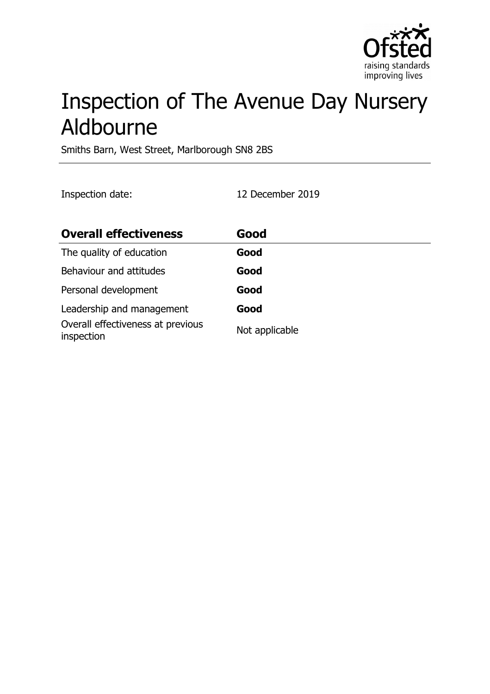

# Inspection of The Avenue Day Nursery Aldbourne

Smiths Barn, West Street, Marlborough SN8 2BS

Inspection date: 12 December 2019

| <b>Overall effectiveness</b>                    | Good           |
|-------------------------------------------------|----------------|
| The quality of education                        | Good           |
| Behaviour and attitudes                         | Good           |
| Personal development                            | Good           |
| Leadership and management                       | Good           |
| Overall effectiveness at previous<br>inspection | Not applicable |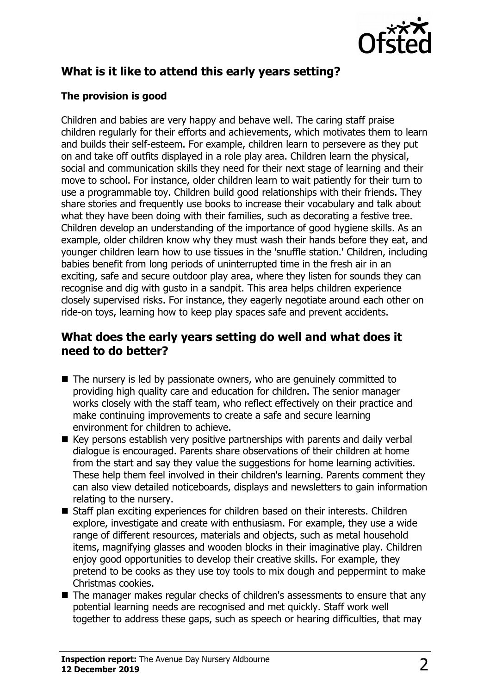

# **What is it like to attend this early years setting?**

#### **The provision is good**

Children and babies are very happy and behave well. The caring staff praise children regularly for their efforts and achievements, which motivates them to learn and builds their self-esteem. For example, children learn to persevere as they put on and take off outfits displayed in a role play area. Children learn the physical, social and communication skills they need for their next stage of learning and their move to school. For instance, older children learn to wait patiently for their turn to use a programmable toy. Children build good relationships with their friends. They share stories and frequently use books to increase their vocabulary and talk about what they have been doing with their families, such as decorating a festive tree. Children develop an understanding of the importance of good hygiene skills. As an example, older children know why they must wash their hands before they eat, and younger children learn how to use tissues in the 'snuffle station.' Children, including babies benefit from long periods of uninterrupted time in the fresh air in an exciting, safe and secure outdoor play area, where they listen for sounds they can recognise and dig with gusto in a sandpit. This area helps children experience closely supervised risks. For instance, they eagerly negotiate around each other on ride-on toys, learning how to keep play spaces safe and prevent accidents.

#### **What does the early years setting do well and what does it need to do better?**

- $\blacksquare$  The nursery is led by passionate owners, who are genuinely committed to providing high quality care and education for children. The senior manager works closely with the staff team, who reflect effectively on their practice and make continuing improvements to create a safe and secure learning environment for children to achieve.
- $\blacksquare$  Key persons establish very positive partnerships with parents and daily verbal dialogue is encouraged. Parents share observations of their children at home from the start and say they value the suggestions for home learning activities. These help them feel involved in their children's learning. Parents comment they can also view detailed noticeboards, displays and newsletters to gain information relating to the nursery.
- Staff plan exciting experiences for children based on their interests. Children explore, investigate and create with enthusiasm. For example, they use a wide range of different resources, materials and objects, such as metal household items, magnifying glasses and wooden blocks in their imaginative play. Children enjoy good opportunities to develop their creative skills. For example, they pretend to be cooks as they use toy tools to mix dough and peppermint to make Christmas cookies.
- $\blacksquare$  The manager makes regular checks of children's assessments to ensure that any potential learning needs are recognised and met quickly. Staff work well together to address these gaps, such as speech or hearing difficulties, that may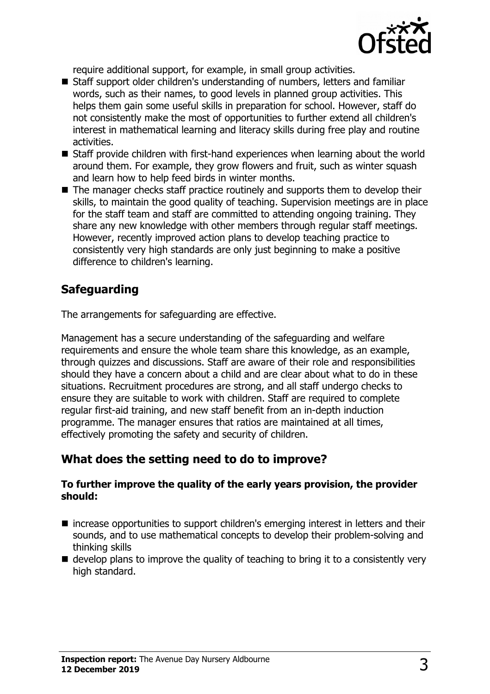

require additional support, for example, in small group activities.

- Staff support older children's understanding of numbers, letters and familiar words, such as their names, to good levels in planned group activities. This helps them gain some useful skills in preparation for school. However, staff do not consistently make the most of opportunities to further extend all children's interest in mathematical learning and literacy skills during free play and routine activities.
- $\blacksquare$  Staff provide children with first-hand experiences when learning about the world around them. For example, they grow flowers and fruit, such as winter squash and learn how to help feed birds in winter months.
- $\blacksquare$  The manager checks staff practice routinely and supports them to develop their skills, to maintain the good quality of teaching. Supervision meetings are in place for the staff team and staff are committed to attending ongoing training. They share any new knowledge with other members through regular staff meetings. However, recently improved action plans to develop teaching practice to consistently very high standards are only just beginning to make a positive difference to children's learning.

## **Safeguarding**

The arrangements for safeguarding are effective.

Management has a secure understanding of the safeguarding and welfare requirements and ensure the whole team share this knowledge, as an example, through quizzes and discussions. Staff are aware of their role and responsibilities should they have a concern about a child and are clear about what to do in these situations. Recruitment procedures are strong, and all staff undergo checks to ensure they are suitable to work with children. Staff are required to complete regular first-aid training, and new staff benefit from an in-depth induction programme. The manager ensures that ratios are maintained at all times, effectively promoting the safety and security of children.

## **What does the setting need to do to improve?**

#### **To further improve the quality of the early years provision, the provider should:**

- $\blacksquare$  increase opportunities to support children's emerging interest in letters and their sounds, and to use mathematical concepts to develop their problem-solving and thinking skills
- $\blacksquare$  develop plans to improve the quality of teaching to bring it to a consistently very high standard.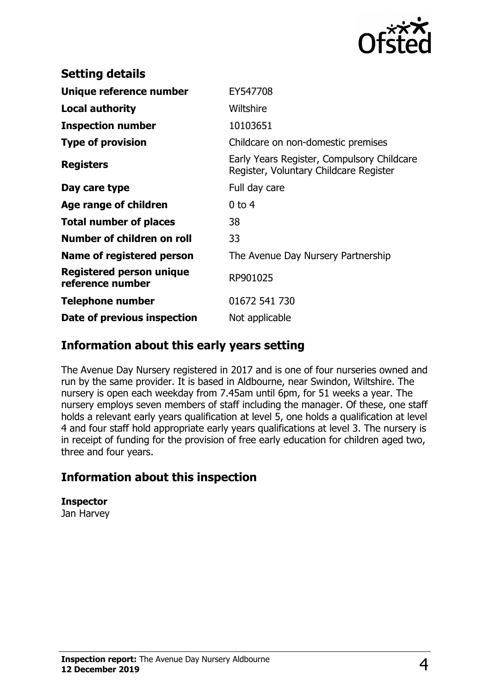

| <b>Setting details</b>                       |                                                                                      |
|----------------------------------------------|--------------------------------------------------------------------------------------|
| Unique reference number                      | EY547708                                                                             |
| Local authority                              | Wiltshire                                                                            |
| <b>Inspection number</b>                     | 10103651                                                                             |
| <b>Type of provision</b>                     | Childcare on non-domestic premises                                                   |
| <b>Registers</b>                             | Early Years Register, Compulsory Childcare<br>Register, Voluntary Childcare Register |
| Day care type                                | Full day care                                                                        |
| Age range of children                        | $0$ to 4                                                                             |
| <b>Total number of places</b>                | 38                                                                                   |
| Number of children on roll                   | 33                                                                                   |
| Name of registered person                    | The Avenue Day Nursery Partnership                                                   |
| Registered person unique<br>reference number | RP901025                                                                             |
| <b>Telephone number</b>                      | 01672 541 730                                                                        |
| Date of previous inspection                  | Not applicable                                                                       |

#### **Information about this early years setting**

The Avenue Day Nursery registered in 2017 and is one of four nurseries owned and run by the same provider. It is based in Aldbourne, near Swindon, Wiltshire. The nursery is open each weekday from 7.45am until 6pm, for 51 weeks a year. The nursery employs seven members of staff including the manager. Of these, one staff holds a relevant early years qualification at level 5, one holds a qualification at level 4 and four staff hold appropriate early years qualifications at level 3. The nursery is in receipt of funding for the provision of free early education for children aged two, three and four years.

## **Information about this inspection**

**Inspector**

Jan Harvey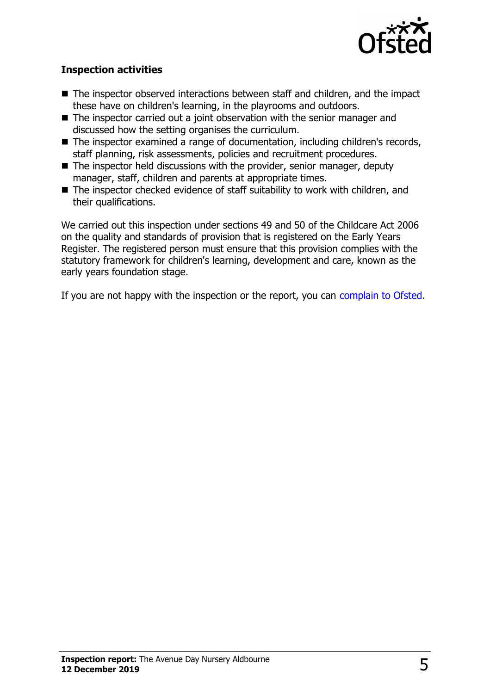

#### **Inspection activities**

- $\blacksquare$  The inspector observed interactions between staff and children, and the impact these have on children's learning, in the playrooms and outdoors.
- $\blacksquare$  The inspector carried out a joint observation with the senior manager and discussed how the setting organises the curriculum.
- $\blacksquare$  The inspector examined a range of documentation, including children's records, staff planning, risk assessments, policies and recruitment procedures.
- $\blacksquare$  The inspector held discussions with the provider, senior manager, deputy manager, staff, children and parents at appropriate times.
- $\blacksquare$  The inspector checked evidence of staff suitability to work with children, and their qualifications.

We carried out this inspection under sections 49 and 50 of the Childcare Act 2006 on the quality and standards of provision that is registered on the Early Years Register. The registered person must ensure that this provision complies with the statutory framework for children's learning, development and care, known as the early years foundation stage.

If you are not happy with the inspection or the report, you can [complain to Ofsted.](http://www.gov.uk/complain-ofsted-report)